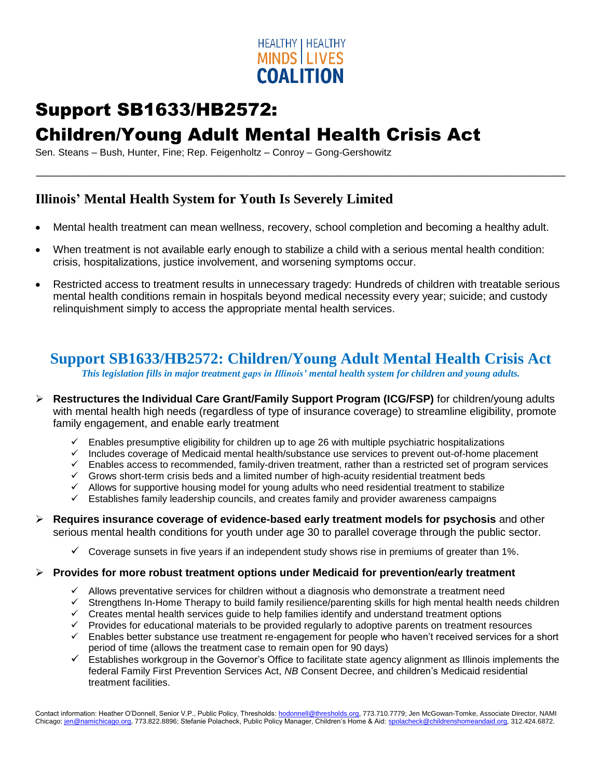

# Support SB1633/HB2572:

## Children/Young Adult Mental Health Crisis Act

Sen. Steans – Bush, Hunter, Fine; Rep. Feigenholtz – Conroy – Gong-Gershowitz

#### **Illinois' Mental Health System for Youth Is Severely Limited**

Mental health treatment can mean wellness, recovery, school completion and becoming a healthy adult.

\_\_\_\_\_\_\_\_\_\_\_\_\_\_\_\_\_\_\_\_\_\_\_\_\_\_\_\_\_\_\_\_\_\_\_\_\_\_\_\_\_\_\_\_\_\_\_\_\_\_\_\_\_\_\_\_\_\_\_\_\_\_\_\_\_\_\_\_\_\_\_\_\_\_\_\_\_\_\_\_\_\_\_\_\_\_\_\_

- When treatment is not available early enough to stabilize a child with a serious mental health condition: crisis, hospitalizations, justice involvement, and worsening symptoms occur.
- Restricted access to treatment results in unnecessary tragedy: Hundreds of children with treatable serious mental health conditions remain in hospitals beyond medical necessity every year; suicide; and custody relinquishment simply to access the appropriate mental health services.

### **Support SB1633/HB2572: Children/Young Adult Mental Health Crisis Act**

*This legislation fills in major treatment gaps in Illinois' mental health system for children and young adults.*

- **Restructures the Individual Care Grant/Family Support Program (ICG/FSP)** for children/young adults with mental health high needs (regardless of type of insurance coverage) to streamline eligibility, promote family engagement, and enable early treatment
	- $\checkmark$  Enables presumptive eligibility for children up to age 26 with multiple psychiatric hospitalizations
	- $\checkmark$  Includes coverage of Medicaid mental health/substance use services to prevent out-of-home placement
	- $\checkmark$  Enables access to recommended, family-driven treatment, rather than a restricted set of program services
	- $\checkmark$  Grows short-term crisis beds and a limited number of high-acuity residential treatment beds
	- $\checkmark$  Allows for supportive housing model for young adults who need residential treatment to stabilize
	- $\checkmark$  Establishes family leadership councils, and creates family and provider awareness campaigns
- **Requires insurance coverage of evidence-based early treatment models for psychosis** and other serious mental health conditions for youth under age 30 to parallel coverage through the public sector.
	- $\checkmark$  Coverage sunsets in five years if an independent study shows rise in premiums of greater than 1%.

#### **Provides for more robust treatment options under Medicaid for prevention/early treatment**

- $\checkmark$  Allows preventative services for children without a diagnosis who demonstrate a treatment need
- $\checkmark$  Strengthens In-Home Therapy to build family resilience/parenting skills for high mental health needs children
- $\checkmark$  Creates mental health services guide to help families identify and understand treatment options
- $\checkmark$  Provides for educational materials to be provided regularly to adoptive parents on treatment resources
- $\checkmark$  Enables better substance use treatment re-engagement for people who haven't received services for a short period of time (allows the treatment case to remain open for 90 days)
- $\checkmark$  Establishes workgroup in the Governor's Office to facilitate state agency alignment as Illinois implements the federal Family First Prevention Services Act, *NB* Consent Decree, and children's Medicaid residential treatment facilities.

Contact information: Heather O'Donnell, Senior V.P., Public Policy, Thresholds[: hodonnell@thresholds.org,](mailto:hodonnell@thresholds.org) 773.710.7779; Jen McGowan-Tomke, Associate Director, NAMI Chicago[: jen@namichicago.org,](mailto:jen@namichicago.org) 773.822.8896; Stefanie Polacheck, Public Policy Manager, Children's Home & Aid[: spolacheck@childrenshomeandaid.org,](mailto:spolacheck@childrenshomeandaid.org) 312.424.6872.